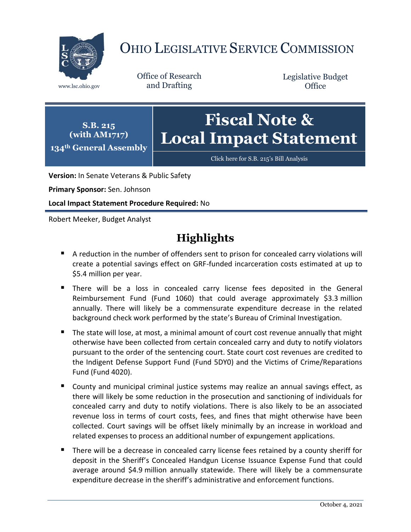

# OHIO LEGISLATIVE SERVICE COMMISSION

Office of Research www.lsc.ohio.gov and Drafting

Legislative Budget **Office** 



[Click here for S.B. 215](https://www.legislature.ohio.gov/legislation/legislation-documents?id=GA134-SB-215)'s Bill Analysis

**Version:** In Senate Veterans & Public Safety

**Primary Sponsor:** Sen. Johnson

**Local Impact Statement Procedure Required:** No

Robert Meeker, Budget Analyst

# **Highlights**

- A reduction in the number of offenders sent to prison for concealed carry violations will create a potential savings effect on GRF-funded incarceration costs estimated at up to \$5.4 million per year.
- There will be a loss in concealed carry license fees deposited in the General Reimbursement Fund (Fund 1060) that could average approximately \$3.3 million annually. There will likely be a commensurate expenditure decrease in the related background check work performed by the state's Bureau of Criminal Investigation.
- The state will lose, at most, a minimal amount of court cost revenue annually that might otherwise have been collected from certain concealed carry and duty to notify violators pursuant to the order of the sentencing court. State court cost revenues are credited to the Indigent Defense Support Fund (Fund 5DY0) and the Victims of Crime/Reparations Fund (Fund 4020).
- County and municipal criminal justice systems may realize an annual savings effect, as there will likely be some reduction in the prosecution and sanctioning of individuals for concealed carry and duty to notify violations. There is also likely to be an associated revenue loss in terms of court costs, fees, and fines that might otherwise have been collected. Court savings will be offset likely minimally by an increase in workload and related expenses to process an additional number of expungement applications.
- There will be a decrease in concealed carry license fees retained by a county sheriff for deposit in the Sheriff's Concealed Handgun License Issuance Expense Fund that could average around \$4.9 million annually statewide. There will likely be a commensurate expenditure decrease in the sheriff's administrative and enforcement functions.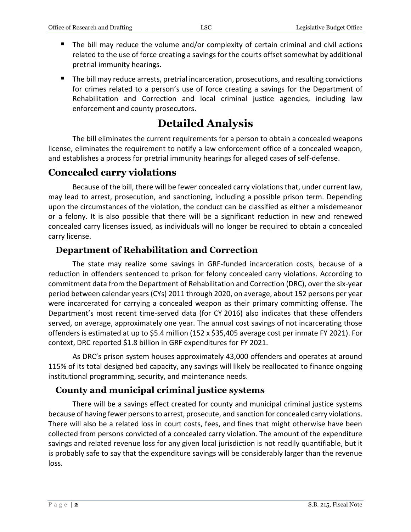- The bill may reduce the volume and/or complexity of certain criminal and civil actions related to the use of force creating a savings for the courts offset somewhat by additional pretrial immunity hearings.
- The bill may reduce arrests, pretrial incarceration, prosecutions, and resulting convictions for crimes related to a person's use of force creating a savings for the Department of Rehabilitation and Correction and local criminal justice agencies, including law enforcement and county prosecutors.

# **Detailed Analysis**

The bill eliminates the current requirements for a person to obtain a concealed weapons license, eliminates the requirement to notify a law enforcement office of a concealed weapon, and establishes a process for pretrial immunity hearings for alleged cases of self-defense.

### **Concealed carry violations**

Because of the bill, there will be fewer concealed carry violations that, under current law, may lead to arrest, prosecution, and sanctioning, including a possible prison term. Depending upon the circumstances of the violation, the conduct can be classified as either a misdemeanor or a felony. It is also possible that there will be a significant reduction in new and renewed concealed carry licenses issued, as individuals will no longer be required to obtain a concealed carry license.

#### **Department of Rehabilitation and Correction**

The state may realize some savings in GRF-funded incarceration costs, because of a reduction in offenders sentenced to prison for felony concealed carry violations. According to commitment data from the Department of Rehabilitation and Correction (DRC), over the six-year period between calendar years (CYs) 2011 through 2020, on average, about 152 persons per year were incarcerated for carrying a concealed weapon as their primary committing offense. The Department's most recent time-served data (for CY 2016) also indicates that these offenders served, on average, approximately one year. The annual cost savings of not incarcerating those offenders is estimated at up to \$5.4 million (152 x \$35,405 average cost per inmate FY 2021). For context, DRC reported \$1.8 billion in GRF expenditures for FY 2021.

As DRC's prison system houses approximately 43,000 offenders and operates at around 115% of its total designed bed capacity, any savings will likely be reallocated to finance ongoing institutional programming, security, and maintenance needs.

#### **County and municipal criminal justice systems**

There will be a savings effect created for county and municipal criminal justice systems because of having fewer persons to arrest, prosecute, and sanction for concealed carry violations. There will also be a related loss in court costs, fees, and fines that might otherwise have been collected from persons convicted of a concealed carry violation. The amount of the expenditure savings and related revenue loss for any given local jurisdiction is not readily quantifiable, but it is probably safe to say that the expenditure savings will be considerably larger than the revenue loss.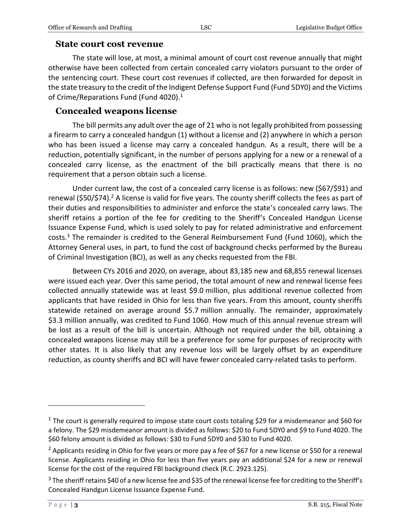#### **State court cost revenue**

The state will lose, at most, a minimal amount of court cost revenue annually that might otherwise have been collected from certain concealed carry violators pursuant to the order of the sentencing court. These court cost revenues if collected, are then forwarded for deposit in the state treasury to the credit of the Indigent Defense Support Fund (Fund 5DY0) and the Victims of Crime/Reparations Fund (Fund 4020).<sup>1</sup>

#### **Concealed weapons license**

The bill permits any adult over the age of 21 who is not legally prohibited from possessing a firearm to carry a concealed handgun (1) without a license and (2) anywhere in which a person who has been issued a license may carry a concealed handgun. As a result, there will be a reduction, potentially significant, in the number of persons applying for a new or a renewal of a concealed carry license, as the enactment of the bill practically means that there is no requirement that a person obtain such a license.

Under current law, the cost of a concealed carry license is as follows: new (\$67/\$91) and renewal (\$50/\$74).<sup>2</sup> A license is valid for five years. The county sheriff collects the fees as part of their duties and responsibilities to administer and enforce the state's concealed carry laws. The sheriff retains a portion of the fee for crediting to the Sheriff's Concealed Handgun License Issuance Expense Fund, which is used solely to pay for related administrative and enforcement costs.<sup>3</sup> The remainder is credited to the General Reimbursement Fund (Fund 1060), which the Attorney General uses, in part, to fund the cost of background checks performed by the Bureau of Criminal Investigation (BCI), as well as any checks requested from the FBI.

Between CYs 2016 and 2020, on average, about 83,185 new and 68,855 renewal licenses were issued each year. Over this same period, the total amount of new and renewal license fees collected annually statewide was at least \$9.0 million, plus additional revenue collected from applicants that have resided in Ohio for less than five years. From this amount, county sheriffs statewide retained on average around \$5.7 million annually. The remainder, approximately \$3.3 million annually, was credited to Fund 1060. How much of this annual revenue stream will be lost as a result of the bill is uncertain. Although not required under the bill, obtaining a concealed weapons license may still be a preference for some for purposes of reciprocity with other states. It is also likely that any revenue loss will be largely offset by an expenditure reduction, as county sheriffs and BCI will have fewer concealed carry-related tasks to perform.

 $\overline{a}$ 

<sup>&</sup>lt;sup>1</sup> The court is generally required to impose state court costs totaling \$29 for a misdemeanor and \$60 for a felony. The \$29 misdemeanor amount is divided as follows: \$20 to Fund 5DY0 and \$9 to Fund 4020. The \$60 felony amount is divided as follows: \$30 to Fund 5DY0 and \$30 to Fund 4020.

<sup>&</sup>lt;sup>2</sup> Applicants residing in Ohio for five years or more pay a fee of \$67 for a new license or \$50 for a renewal license. Applicants residing in Ohio for less than five years pay an additional \$24 for a new or renewal license for the cost of the required FBI background check (R.C. 2923.125).

<sup>&</sup>lt;sup>3</sup> The sheriff retains \$40 of a new license fee and \$35 of the renewal license fee for crediting to the Sheriff's Concealed Handgun License Issuance Expense Fund.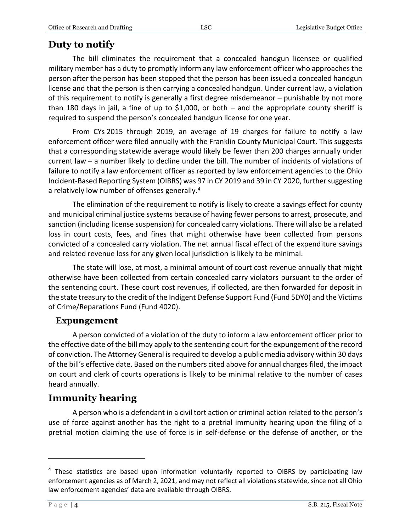### **Duty to notify**

The bill eliminates the requirement that a concealed handgun licensee or qualified military member has a duty to promptly inform any law enforcement officer who approaches the person after the person has been stopped that the person has been issued a concealed handgun license and that the person is then carrying a concealed handgun. Under current law, a violation of this requirement to notify is generally a first degree misdemeanor – punishable by not more than 180 days in jail, a fine of up to \$1,000, or both  $-$  and the appropriate county sheriff is required to suspend the person's concealed handgun license for one year.

From CYs 2015 through 2019, an average of 19 charges for failure to notify a law enforcement officer were filed annually with the Franklin County Municipal Court. This suggests that a corresponding statewide average would likely be fewer than 200 charges annually under current law – a number likely to decline under the bill. The number of incidents of violations of failure to notify a law enforcement officer as reported by law enforcement agencies to the Ohio Incident-Based Reporting System (OIBRS) was 97 in CY 2019 and 39 in CY 2020, further suggesting a relatively low number of offenses generally.<sup>4</sup>

The elimination of the requirement to notify is likely to create a savings effect for county and municipal criminal justice systems because of having fewer persons to arrest, prosecute, and sanction (including license suspension) for concealed carry violations. There will also be a related loss in court costs, fees, and fines that might otherwise have been collected from persons convicted of a concealed carry violation. The net annual fiscal effect of the expenditure savings and related revenue loss for any given local jurisdiction is likely to be minimal.

The state will lose, at most, a minimal amount of court cost revenue annually that might otherwise have been collected from certain concealed carry violators pursuant to the order of the sentencing court. These court cost revenues, if collected, are then forwarded for deposit in the state treasury to the credit of the Indigent Defense Support Fund (Fund 5DY0) and the Victims of Crime/Reparations Fund (Fund 4020).

#### **Expungement**

A person convicted of a violation of the duty to inform a law enforcement officer prior to the effective date of the bill may apply to the sentencing court for the expungement of the record of conviction. The Attorney General is required to develop a public media advisory within 30 days of the bill's effective date. Based on the numbers cited above for annual charges filed, the impact on court and clerk of courts operations is likely to be minimal relative to the number of cases heard annually.

## **Immunity hearing**

A person who is a defendant in a civil tort action or criminal action related to the person's use of force against another has the right to a pretrial immunity hearing upon the filing of a pretrial motion claiming the use of force is in self-defense or the defense of another, or the

 $\overline{a}$ 

<sup>&</sup>lt;sup>4</sup> These statistics are based upon information voluntarily reported to OIBRS by participating law enforcement agencies as of March 2, 2021, and may not reflect all violations statewide, since not all Ohio law enforcement agencies' data are available through OIBRS.